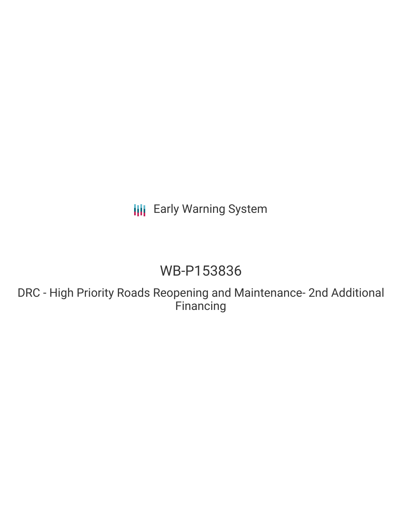**III** Early Warning System

# WB-P153836

DRC - High Priority Roads Reopening and Maintenance- 2nd Additional **Financing**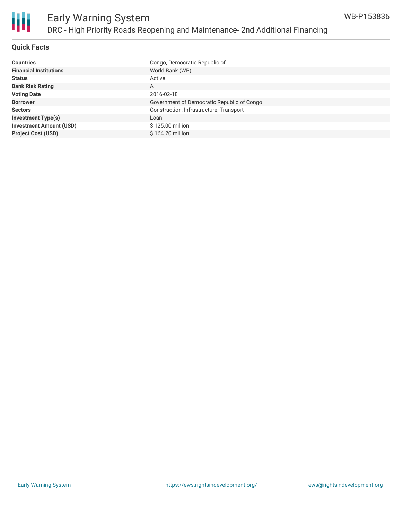

#### **Quick Facts**

| <b>Countries</b>               | Congo, Democratic Republic of              |
|--------------------------------|--------------------------------------------|
| <b>Financial Institutions</b>  | World Bank (WB)                            |
| <b>Status</b>                  | Active                                     |
| <b>Bank Risk Rating</b>        | A                                          |
| <b>Voting Date</b>             | 2016-02-18                                 |
| <b>Borrower</b>                | Government of Democratic Republic of Congo |
| <b>Sectors</b>                 | Construction, Infrastructure, Transport    |
| <b>Investment Type(s)</b>      | Loan                                       |
| <b>Investment Amount (USD)</b> | \$125.00 million                           |
| <b>Project Cost (USD)</b>      | $$164.20$ million                          |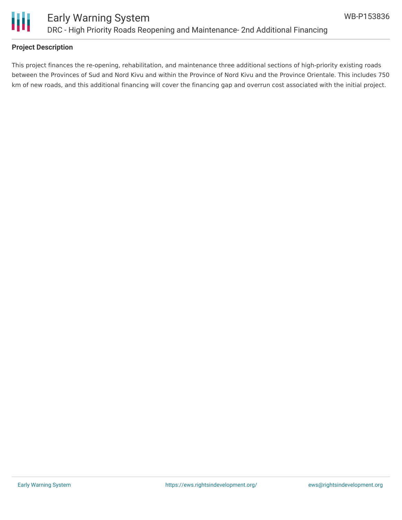

#### **Project Description**

This project finances the re-opening, rehabilitation, and maintenance three additional sections of high-priority existing roads between the Provinces of Sud and Nord Kivu and within the Province of Nord Kivu and the Province Orientale. This includes 750 km of new roads, and this additional financing will cover the financing gap and overrun cost associated with the initial project.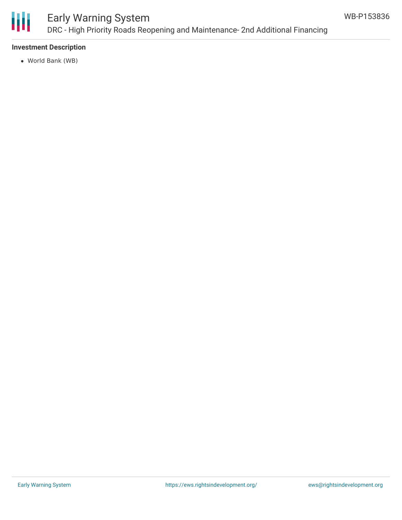

## Early Warning System DRC - High Priority Roads Reopening and Maintenance- 2nd Additional Financing

#### **Investment Description**

World Bank (WB)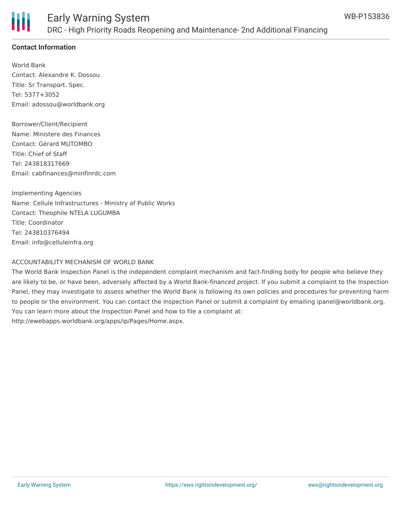

#### **Contact Information**

World Bank Contact: Alexandre K. Dossou Title: Sr Transport. Spec. Tel: 5377+3052 Email: adossou@worldbank.org

Borrower/Client/Recipient Name: Ministere des Finances Contact: Gérard MUTOMBO Title: Chief of Staff Tel: 243818317669 Email: cabfinances@minfinrdc.com

Implementing Agencies Name: Cellule Infrastructures - Ministry of Public Works Contact: Theophile NTELA LUGUMBA Title: Coordinator Tel: 243810376494 Email: info@celluleinfra.org

#### ACCOUNTABILITY MECHANISM OF WORLD BANK

The World Bank Inspection Panel is the independent complaint mechanism and fact-finding body for people who believe they are likely to be, or have been, adversely affected by a World Bank-financed project. If you submit a complaint to the Inspection Panel, they may investigate to assess whether the World Bank is following its own policies and procedures for preventing harm to people or the environment. You can contact the Inspection Panel or submit a complaint by emailing ipanel@worldbank.org. You can learn more about the Inspection Panel and how to file a complaint at: http://ewebapps.worldbank.org/apps/ip/Pages/Home.aspx.